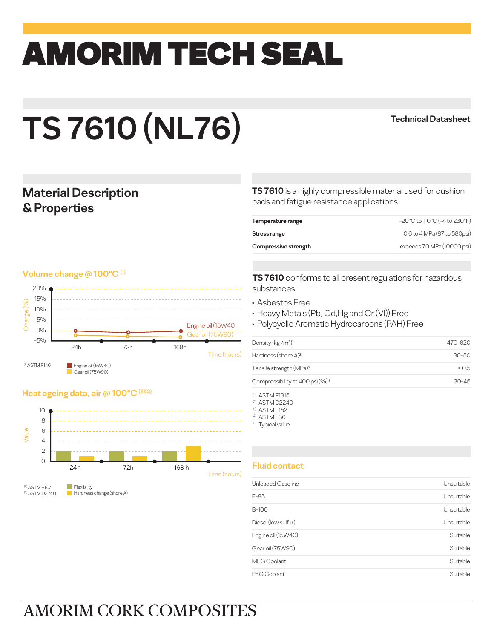## amorim TECH SEAL

# **TS 7610 (NL76)**

#### **Technical Datasheet**

#### **Material Description & Properties**

#### **Volume change @ 100°C (1)**



#### **Heat ageing data, air @ 100°C (2&3)**



**TS 7610** is a highly compressible material used for cushion pads and fatigue resistance applications.

| Temperature range    | -20°C to 110°C (-4 to 230°F) |
|----------------------|------------------------------|
| Stress range         | 0.6 to 4 MPa (87 to 580psi)  |
| Compressive strength | exceeds 70 MPa (10000 psi)   |

**TS 7610** conforms to all present regulations for hazardous substances.

- Asbestos Free
- Heavy Metals (Pb, Cd,Hg and Cr (VI)) Free
- Polycyclic Aromatic Hydrocarbons (PAH) Free

| Density (kg/m <sup>3)1</sup>                | 470-620   |
|---------------------------------------------|-----------|
| Hardness (shore A) <sup>2</sup>             | $30 - 50$ |
| Tensile strength (MPa) <sup>3</sup>         | > 0.5     |
| Compressibility at 400 psi (%) <sup>4</sup> | $30 - 45$ |

- (1) ASTM F1315
- (2) ASTM D2240
- (3) ASTM F152 (4) ASTM F36
- \* Typical value

#### **Fluid contact**

| Unleaded Gasoline   | Unsuitable |
|---------------------|------------|
| $E-85$              | Unsuitable |
| B-100               | Unsuitable |
| Diesel (low sulfur) | Unsuitable |
| Engine oil (15W40)  | Suitable   |
| Gear oil (75W90)    | Suitable   |
| <b>MEG Coolant</b>  | Suitable   |
| PEG Coolant         | Suitable   |
|                     |            |

## **AMORIM CORK COMPOSITES**